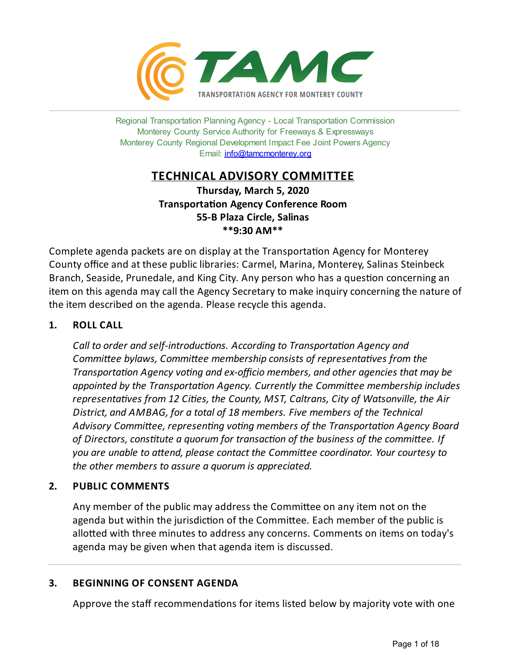

Regional Transportation Planning Agency - Local Transportation Commission Monterey County Service Authority for Freeways & Expressways Monterey County Regional Development Impact Fee Joint Powers Agency Email: [info@tamcmonterey.org](file:///C:/Windows/TEMP/info@tamcmonterey.org)

## **TECHNICAL ADVISORY COMMITTEE**

**Thursday, March 5, 2020 Transportation Agency Conference Room 55-B Plaza Circle, Salinas \*\*9:30 AM\*\***

Complete agenda packets are on display at the Transportation Agency for Monterey County office and at these public libraries: Carmel, Marina, Monterey, Salinas Steinbeck Branch, Seaside, Prunedale, and King City. Any person who has a question concerning an item on this agenda may call the Agency Secretary to make inquiry concerning the nature of the item described on the agenda. Please recycle this agenda.

## **1. ROLL CALL**

*Call* to *order* and *self-introductions. According* to *Transportation Agency and Committee bylaws, Committee membership consists of representatives from the Transportation Agency voting* and *ex-officio members, and other agencies that may be appointed* by the *Transportation Agency. Currently the Committee membership includes representaves from 12 Cies, the County, MST, Caltrans, City of Watsonville, the Air District, and AMBAG, for a total of 18 members. Five members of the Technical* Advisory Committee, representing voting members of the Transportation Agency Board *of Directors,constute a quorum for transacon of the business of the commiee. If you* are unable to attend, please contact the Committee coordinator. Your courtesy to *the other members to assure a quorum is appreciated.*

## **2. PUBLIC COMMENTS**

Any member of the public may address the Committee on any item not on the agenda but within the jurisdiction of the Committee. Each member of the public is allotted with three minutes to address any concerns. Comments on items on today's agenda may be given when that agenda item is discussed.

## **3. BEGINNING OF CONSENT AGENDA**

Approve the staff recommendations for items listed below by majority vote with one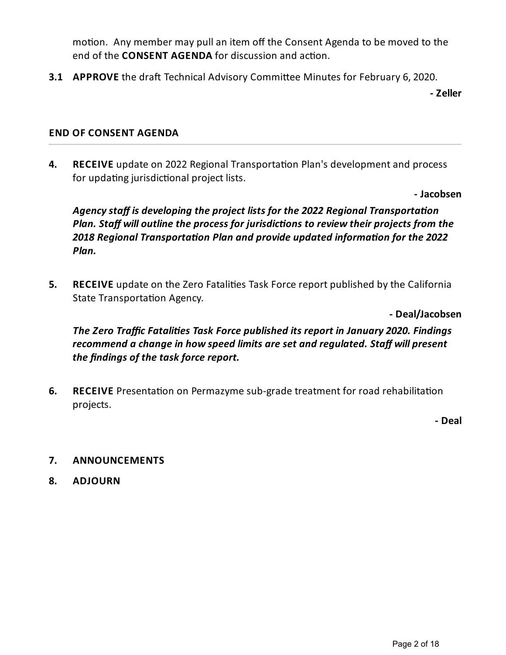motion. Any member may pull an item off the Consent Agenda to be moved to the end of the **CONSENT AGENDA** for discussion and action.

**3.1 APPROVE** the draft Technical Advisory Committee Minutes for February 6, 2020.

**- Zeller**

## **END OF CONSENT AGENDA**

**4. RECEIVE** update on 2022 Regional Transportation Plan's development and process for updating jurisdictional project lists.

**- Jacobsen**

*Agencystaff is developing the project lists for the 2022 Regional Transportaon Plan. Staff will outline the process for jurisdictions to review their projects from the* **2018** Regional Transportation Plan and provide updated information for the 2022 *Plan.*

**5. RECEIVE** update on the Zero Fatalities Task Force report published by the California State Transportation Agency.

**- Deal/Jacobsen**

*The Zero Traffic Fatalies Task Force published its report in January 2020. Findings recommend a changein how speed limits areset and regulated. Staff will present the findings of the task force report.* 

**6. RECEIVE** Presentation on Permazyme sub-grade treatment for road rehabilitation projects.

**- Deal**

## **7. ANNOUNCEMENTS**

**8. ADJOURN**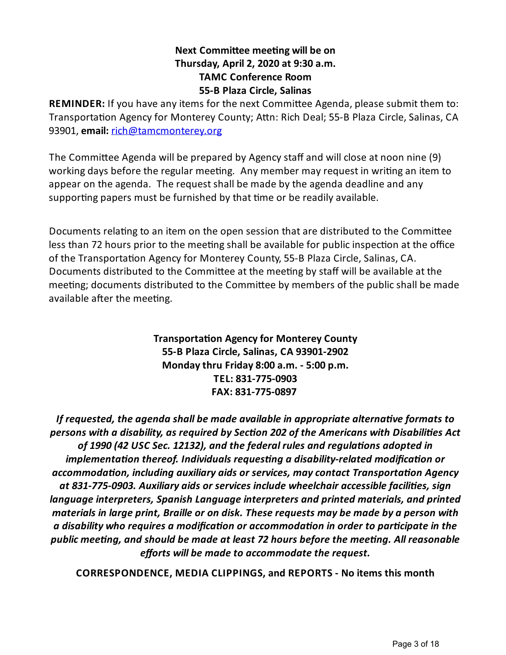## **Next Committee meeting will be on Thursday, April 2, 2020 at 9:30 a.m. TAMC Conference Room 55-B Plaza Circle, Salinas**

**REMINDER:** If you have any items for the next Committee Agenda, please submit them to: Transportation Agency for Monterey County; Attn: Rich Deal; 55-B Plaza Circle, Salinas, CA 93901, **email:** [rich@tamcmonterey.org](mailto:rich@tamcmonterey.org)

The Committee Agenda will be prepared by Agency staff and will close at noon nine (9) working days before the regular meeting. Any member may request in writing an item to appear on the agenda. The request shall be made by the agenda deadline and any supporting papers must be furnished by that time or be readily available.

Documents relating to an item on the open session that are distributed to the Committee less than 72 hours prior to the meeting shall be available for public inspection at the office of the Transportation Agency for Monterey County, 55-B Plaza Circle, Salinas, CA. Documents distributed to the Committee at the meeting by staff will be available at the meeting; documents distributed to the Committee by members of the public shall be made available after the meeting.

> **Transportation Agency for Monterey County 55-B Plaza Circle, Salinas, CA 93901-2902 Mondaythru Friday 8:00 a.m. - 5:00 p.m. TEL: 831-775-0903 FAX: 831-775-0897**

*If requested, the agenda shall be made availablein appropriate alternaveformats to persons with a disability, as required bySecon 202 of the Americans with Disabilies Act of 1990 (42 USC Sec. 12132), and thefederal rules and regulaons adopted in implementation thereof. Individuals requesting a disability-related modification or accommodaon, including auxiliary aids or services, maycontact Transportaon Agency at 831-775-0903. Auxiliary aids or services include wheelchair accessiblefacilies, sign languageinterpreters, Spanish Languageinterpreters and printed materials, and printed materials in large print, Braille or on disk. Theserequests may be made by a person with a disability who requires a modificaon or accommodaon in order to parcipatein the public meeng, and should be made at least 72 hours beforethe meeng. All reasonable efforts* will be made to accommodate the request.

**CORRESPONDENCE, MEDIA CLIPPINGS, and REPORTS - No items this month**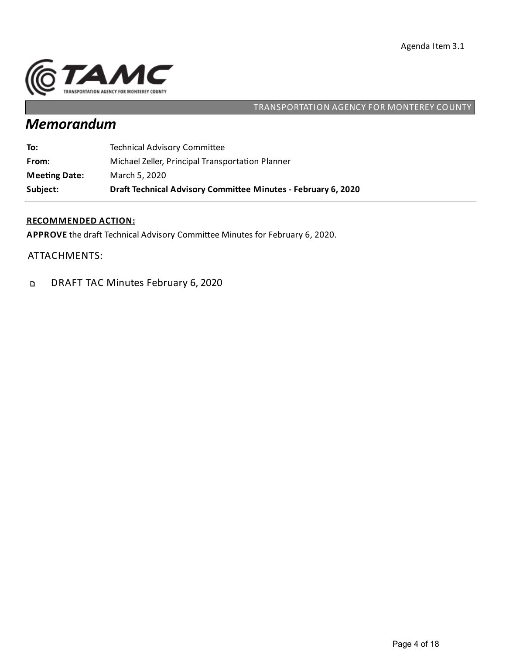

# *Memorandum*

| Subject:             | Draft Technical Advisory Committee Minutes - February 6, 2020 |
|----------------------|---------------------------------------------------------------|
| <b>Meeting Date:</b> | March 5, 2020                                                 |
| From:                | Michael Zeller, Principal Transportation Planner              |
| To:                  | <b>Technical Advisory Committee</b>                           |

#### **RECOMMENDED ACTION:**

APPROVE the draft Technical Advisory Committee Minutes for February 6, 2020.

ATTACHMENTS:

DRAFT TAC Minutes February 6, 2020  $\mathbf{D}$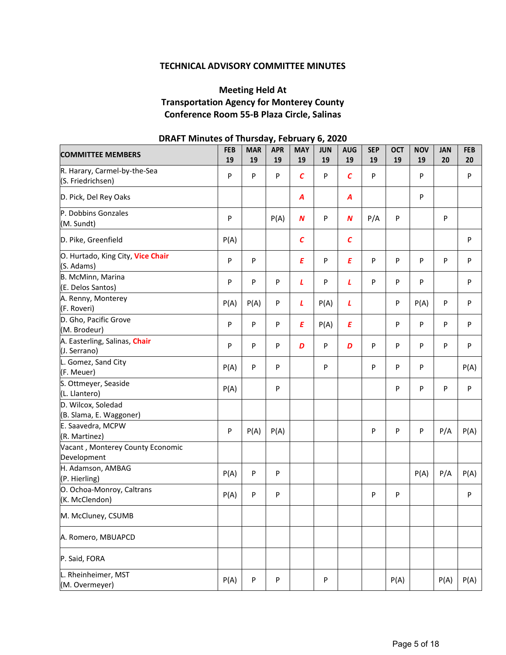#### **TECHNICAL ADVISORY COMMITTEE MINUTES**

## **Meeting Held At Transportation Agency for Monterey County Conference Room 55-B Plaza Circle, Salinas**

| <b>COMMITTEE MEMBERS</b>                          | <b>FEB</b><br>19 | <b>MAR</b><br>19 | <b>APR</b><br>19 | <b>MAY</b><br>19 | <b>JUN</b><br>19 | <b>AUG</b><br>19 | <b>SEP</b><br>19 | <b>OCT</b><br>19 | <b>NOV</b><br>19 | <b>JAN</b><br>20 | <b>FEB</b><br>20 |
|---------------------------------------------------|------------------|------------------|------------------|------------------|------------------|------------------|------------------|------------------|------------------|------------------|------------------|
| R. Harary, Carmel-by-the-Sea<br>(S. Friedrichsen) | $\mathsf{P}$     | $\mathsf{P}$     | P                | $\epsilon$       | P                | $\epsilon$       | P                |                  | P                |                  | P                |
| D. Pick, Del Rey Oaks                             |                  |                  |                  | A                |                  | $\boldsymbol{A}$ |                  |                  | P                |                  |                  |
| P. Dobbins Gonzales<br>(M. Sundt)                 | $\mathsf{P}$     |                  | P(A)             | N                | P                | $\boldsymbol{N}$ | P/A              | P                |                  | P                |                  |
| D. Pike, Greenfield                               | P(A)             |                  |                  | $\epsilon$       |                  | $\mathcal{C}$    |                  |                  |                  |                  | P                |
| O. Hurtado, King City, Vice Chair<br>(S. Adams)   | P                | $\mathsf{P}$     |                  | E                | P                | E                | P                | P                | P                | P                | P                |
| B. McMinn, Marina<br>(E. Delos Santos)            | P                | ${\sf P}$        | P                | L                | P                | L                | P                | P                | P                |                  | P                |
| A. Renny, Monterey<br>(F. Roveri)                 | P(A)             | P(A)             | P                | L                | P(A)             | L                |                  | P                | P(A)             | P                | P                |
| D. Gho, Pacific Grove<br>(M. Brodeur)             | $\mathsf{P}$     | $\mathsf{P}$     | P                | Ε                | P(A)             | Ε                |                  | P                | P                | P                | $\mathsf{P}$     |
| A. Easterling, Salinas, Chair<br>(J. Serrano)     | P                | ${\sf P}$        | P                | D                | P                | D                | P                | P                | P                | P                | P                |
| L. Gomez, Sand City<br>(F. Meuer)                 | P(A)             | $\mathsf{P}$     | P                |                  | P                |                  | P                | P                | P                |                  | P(A)             |
| S. Ottmeyer, Seaside<br>(L. Llantero)             | P(A)             |                  | P                |                  |                  |                  |                  | P                | P                | P                | ${\sf P}$        |
| D. Wilcox, Soledad<br>(B. Slama, E. Waggoner)     |                  |                  |                  |                  |                  |                  |                  |                  |                  |                  |                  |
| E. Saavedra, MCPW<br>(R. Martinez)                | $\mathsf{P}$     | P(A)             | P(A)             |                  |                  |                  | P                | P                | P                | P/A              | P(A)             |
| Vacant, Monterey County Economic<br>Development   |                  |                  |                  |                  |                  |                  |                  |                  |                  |                  |                  |
| H. Adamson, AMBAG<br>(P. Hierling)                | P(A)             | $\sf P$          | P                |                  |                  |                  |                  |                  | P(A)             | P/A              | P(A)             |
| O. Ochoa-Monroy, Caltrans<br>(K. McClendon)       | P(A)             | $\mathsf{P}$     | P                |                  |                  |                  | P                | P                |                  |                  | $\mathsf{P}$     |
| M. McCluney, CSUMB                                |                  |                  |                  |                  |                  |                  |                  |                  |                  |                  |                  |
| A. Romero, MBUAPCD                                |                  |                  |                  |                  |                  |                  |                  |                  |                  |                  |                  |
| P. Said, FORA                                     |                  |                  |                  |                  |                  |                  |                  |                  |                  |                  |                  |
| L. Rheinheimer, MST<br>(M. Overmeyer)             | P(A)             | ${\sf P}$        | P                |                  | P                |                  |                  | P(A)             |                  | P(A)             | P(A)             |

### **DRAFT Minutes of Thursday, February 6, 2020**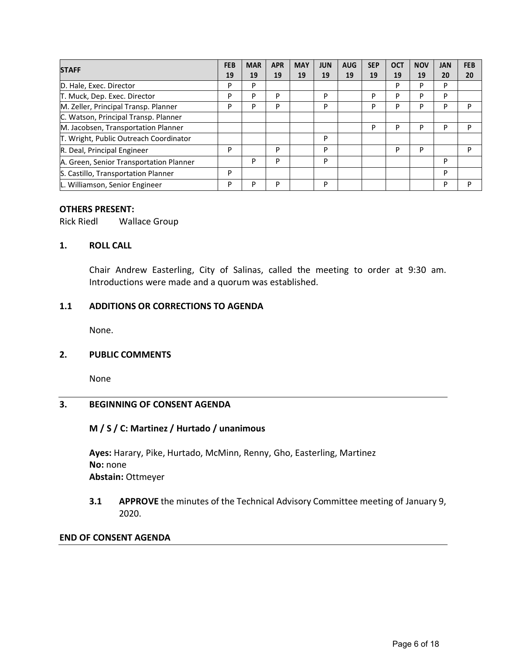|                                         | <b>FEB</b> | <b>MAR</b> | <b>APR</b> | <b>MAY</b> | <b>JUN</b> | <b>AUG</b> | <b>SEP</b> | <b>OCT</b> | <b>NOV</b> | <b>JAN</b> | <b>FEB</b> |
|-----------------------------------------|------------|------------|------------|------------|------------|------------|------------|------------|------------|------------|------------|
| <b>STAFF</b>                            | 19         | 19         | 19         | 19         | 19         | 19         | 19         | 19         | 19         | 20         | 20         |
| D. Hale, Exec. Director                 | P          | P          |            |            |            |            |            | P          | P          | P          |            |
| T. Muck, Dep. Exec. Director            | P          | P          | P          |            | P          |            | P          | P          | P          | P          |            |
| M. Zeller, Principal Transp. Planner    | P          | P          | P          |            | P          |            | P          | P          | P          | P          | P          |
| C. Watson, Principal Transp. Planner    |            |            |            |            |            |            |            |            |            |            |            |
| M. Jacobsen, Transportation Planner     |            |            |            |            |            |            | P          | P          | D          | P          | P          |
| T. Wright, Public Outreach Coordinator  |            |            |            |            | P          |            |            |            |            |            |            |
| R. Deal, Principal Engineer             | P          |            | P          |            | P          |            |            | P          | P          |            | P          |
| A. Green, Senior Transportation Planner |            | P          | P          |            | P          |            |            |            |            | P          |            |
| S. Castillo, Transportation Planner     | P          |            |            |            |            |            |            |            |            | P          |            |
| L. Williamson, Senior Engineer          | P          | P          | P          |            | P          |            |            |            |            | P          | P          |

#### **OTHERS PRESENT:**

Rick Riedl Wallace Group

#### **1. ROLL CALL**

Chair Andrew Easterling, City of Salinas, called the meeting to order at 9:30 am. Introductions were made and a quorum was established.

#### **1.1 ADDITIONS OR CORRECTIONS TO AGENDA**

None.

#### **2. PUBLIC COMMENTS**

None

#### **3. BEGINNING OF CONSENT AGENDA**

#### **M / S / C: Martinez / Hurtado / unanimous**

**Ayes:** Harary, Pike, Hurtado, McMinn, Renny, Gho, Easterling, Martinez **No:** none **Abstain:** Ottmeyer

**3.1 APPROVE** the minutes of the Technical Advisory Committee meeting of January 9, 2020.

#### **END OF CONSENT AGENDA**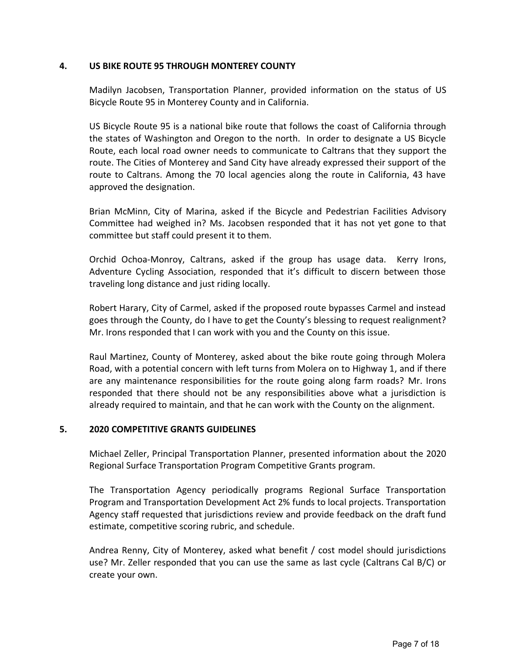#### **4. US BIKE ROUTE 95 THROUGH MONTEREY COUNTY**

Madilyn Jacobsen, Transportation Planner, provided information on the status of US Bicycle Route 95 in Monterey County and in California.

US Bicycle Route 95 is a national bike route that follows the coast of California through the states of Washington and Oregon to the north. In order to designate a US Bicycle Route, each local road owner needs to communicate to Caltrans that they support the route. The Cities of Monterey and Sand City have already expressed their support of the route to Caltrans. Among the 70 local agencies along the route in California, 43 have approved the designation.

Brian McMinn, City of Marina, asked if the Bicycle and Pedestrian Facilities Advisory Committee had weighed in? Ms. Jacobsen responded that it has not yet gone to that committee but staff could present it to them.

Orchid Ochoa-Monroy, Caltrans, asked if the group has usage data. Kerry Irons, Adventure Cycling Association, responded that it's difficult to discern between those traveling long distance and just riding locally.

Robert Harary, City of Carmel, asked if the proposed route bypasses Carmel and instead goes through the County, do I have to get the County's blessing to request realignment? Mr. Irons responded that I can work with you and the County on this issue.

Raul Martinez, County of Monterey, asked about the bike route going through Molera Road, with a potential concern with left turns from Molera on to Highway 1, and if there are any maintenance responsibilities for the route going along farm roads? Mr. Irons responded that there should not be any responsibilities above what a jurisdiction is already required to maintain, and that he can work with the County on the alignment.

#### **5. 2020 COMPETITIVE GRANTS GUIDELINES**

Michael Zeller, Principal Transportation Planner, presented information about the 2020 Regional Surface Transportation Program Competitive Grants program.

The Transportation Agency periodically programs Regional Surface Transportation Program and Transportation Development Act 2% funds to local projects. Transportation Agency staff requested that jurisdictions review and provide feedback on the draft fund estimate, competitive scoring rubric, and schedule.

Andrea Renny, City of Monterey, asked what benefit / cost model should jurisdictions use? Mr. Zeller responded that you can use the same as last cycle (Caltrans Cal B/C) or create your own.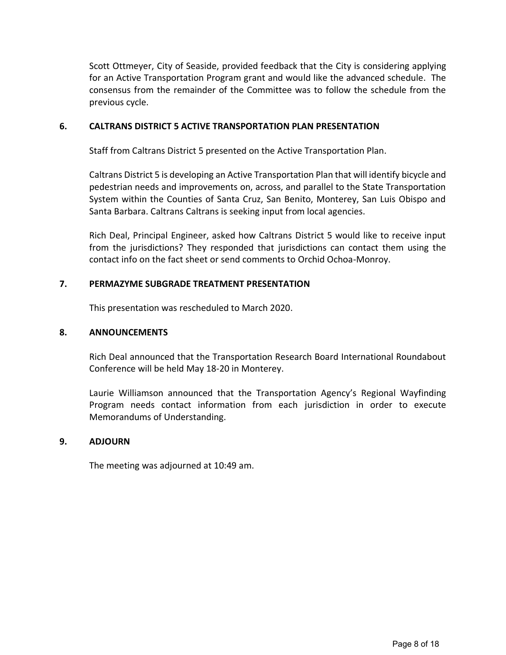Scott Ottmeyer, City of Seaside, provided feedback that the City is considering applying for an Active Transportation Program grant and would like the advanced schedule. The consensus from the remainder of the Committee was to follow the schedule from the previous cycle.

#### **6. CALTRANS DISTRICT 5 ACTIVE TRANSPORTATION PLAN PRESENTATION**

Staff from Caltrans District 5 presented on the Active Transportation Plan.

Caltrans District 5 is developing an Active Transportation Plan that will identify bicycle and pedestrian needs and improvements on, across, and parallel to the State Transportation System within the Counties of Santa Cruz, San Benito, Monterey, San Luis Obispo and Santa Barbara. Caltrans Caltrans is seeking input from local agencies.

Rich Deal, Principal Engineer, asked how Caltrans District 5 would like to receive input from the jurisdictions? They responded that jurisdictions can contact them using the contact info on the fact sheet or send comments to Orchid Ochoa-Monroy.

#### **7. PERMAZYME SUBGRADE TREATMENT PRESENTATION**

This presentation was rescheduled to March 2020.

#### **8. ANNOUNCEMENTS**

Rich Deal announced that the Transportation Research Board International Roundabout Conference will be held May 18-20 in Monterey.

Laurie Williamson announced that the Transportation Agency's Regional Wayfinding Program needs contact information from each jurisdiction in order to execute Memorandums of Understanding.

#### **9. ADJOURN**

The meeting was adjourned at 10:49 am.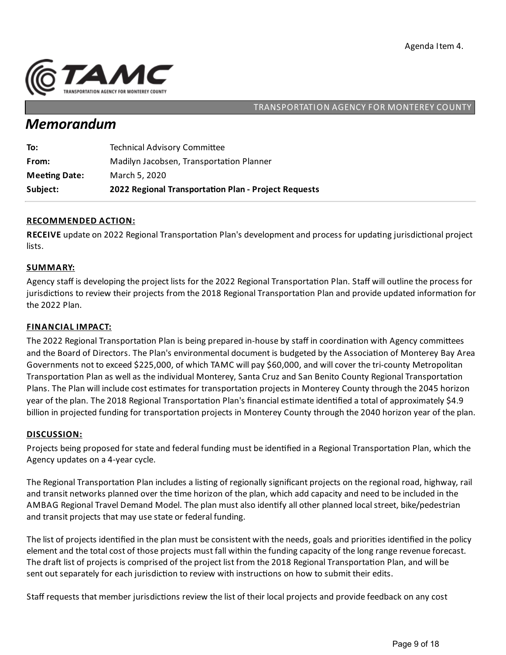

## *Memorandum*

| Subject:             | 2022 Regional Transportation Plan - Project Requests |
|----------------------|------------------------------------------------------|
| <b>Meeting Date:</b> | March 5, 2020                                        |
| From:                | Madilyn Jacobsen, Transportation Planner             |
| To:                  | <b>Technical Advisory Committee</b>                  |

#### **RECOMMENDED ACTION:**

RECEIVE update on 2022 Regional Transportation Plan's development and process for updating jurisdictional project lists.

#### **SUMMARY:**

Agency staff is developing the project lists for the 2022 Regional Transportation Plan. Staff will outline the process for jurisdictions to review their projects from the 2018 Regional Transportation Plan and provide updated information for the 2022 Plan.

#### **FINANCIAL IMPACT:**

The 2022 Regional Transportation Plan is being prepared in-house by staff in coordination with Agency committees and the Board of Directors. The Plan's environmental document is budgeted by the Association of Monterey Bay Area Governments not to exceed \$225,000, of which TAMC will pay \$60,000, and will cover the tri-county Metropolitan Transportation Plan as well as the individual Monterey, Santa Cruz and San Benito County Regional Transportation Plans. The Plan will include cost estimates for transportation projects in Monterey County through the 2045 horizon year of the plan. The 2018 Regional Transportation Plan's financial estimate identified a total of approximately \$4.9 billion in projected funding for transportation projects in Monterey County through the 2040 horizon year of the plan.

#### **DISCUSSION:**

Projects being proposed for state and federal funding must be identified in a Regional Transportation Plan, which the Agency updates on a 4-year cycle.

The Regional Transportation Plan includes a listing of regionally significant projects on the regional road, highway, rail and transit networks planned over the time horizon of the plan, which add capacity and need to be included in the AMBAG Regional Travel Demand Model. The plan must also identify all other planned local street, bike/pedestrian and transit projects that may use state or federal funding.

The list of projects identified in the plan must be consistent with the needs, goals and priorities identified in the policy element and the total cost of those projects must fall within the funding capacity of the long range revenue forecast. The draft list of projects is comprised of the project list from the 2018 Regional Transportation Plan, and will be sent out separately for each jurisdiction to review with instructions on how to submit their edits.

Staff requests that member jurisdictions review the list of their local projects and provide feedback on any cost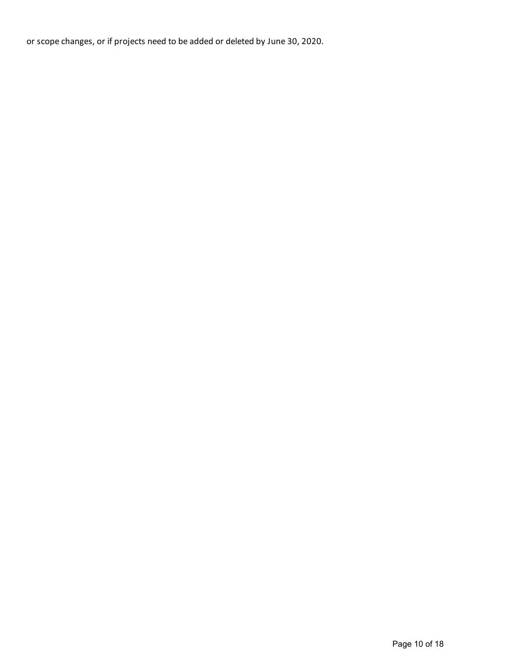or scope changes, or if projects need to be added or deleted by June 30, 2020.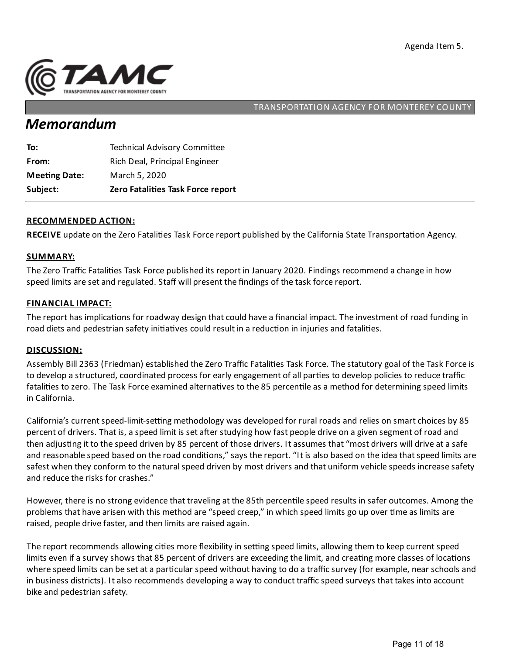

# *Memorandum*

| Subject:             | Zero Fatalities Task Force report   |
|----------------------|-------------------------------------|
| <b>Meeting Date:</b> | March 5, 2020                       |
| From:                | Rich Deal, Principal Engineer       |
| To:                  | <b>Technical Advisory Committee</b> |

#### **RECOMMENDED ACTION:**

**RECEIVE** update on the Zero Fatalities Task Force report published by the California State Transportation Agency.

#### **SUMMARY:**

The Zero Traffic Fatalities Task Force published its report in January 2020. Findings recommend a change in how speed limits are set and regulated. Staff will present the findings of the task force report.

#### **FINANCIAL IMPACT:**

The report has implications for roadway design that could have a financial impact. The investment of road funding in road diets and pedestrian safety initiatives could result in a reduction in injuries and fatalities.

#### **DISCUSSION:**

Assembly Bill 2363 (Friedman) established the Zero Traffic Fatalities Task Force. The statutory goal of the Task Force is to develop a structured, coordinated process for early engagement of all parties to develop policies to reduce traffic fatalities to zero. The Task Force examined alternatives to the 85 percentile as a method for determining speed limits in California.

California's current speed-limit-setting methodology was developed for rural roads and relies on smart choices by 85 percent of drivers. That is, a speed limit is set after studying how fast people drive on a given segment of road and then adjusting it to the speed driven by 85 percent of those drivers. It assumes that "most drivers will drive at a safe and reasonable speed based on the road conditions," says the report. "It is also based on the idea that speed limits are safest when they conform to the natural speed driven by most drivers and that uniform vehicle speeds increase safety and reduce the risks for crashes."

However, there is no strong evidence that traveling at the 85th percentile speed results in safer outcomes. Among the problems that have arisen with this method are "speed creep," in which speed limits go up over time as limits are raised, people drive faster, and then limits are raised again.

The report recommends allowing cities more flexibility in setting speed limits, allowing them to keep current speed limits even if a survey shows that 85 percent of drivers are exceeding the limit, and creating more classes of locations where speed limits can be set at a particular speed without having to do a traffic survey (for example, near schools and in business districts). Italso recommends developinga way to conduct traffic speed surveys that takes into account bike and pedestrian safety.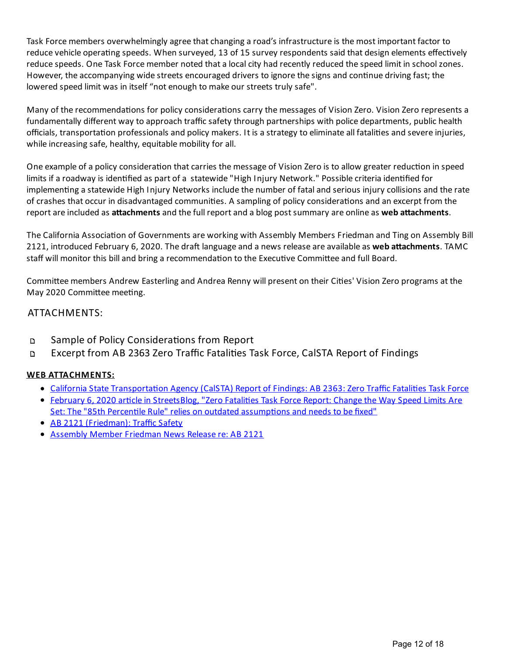Task Force members overwhelmingly agree that changing a road's infrastructure is the most important factor to reduce vehicle operating speeds. When surveyed, 13 of 15 survey respondents said that design elements effectively reduce speeds. One Task Force member noted that a local city had recently reduced the speed limit in school zones. However, the accompanying wide streets encouraged drivers to ignore the signs and continue driving fast; the lowered speed limit was in itself "not enough to make our streets truly safe".

Many of the recommendations for policy considerations carry the messages of Vision Zero. Vision Zero represents a fundamentally different way to approach traffic safety through partnerships with police departments, public health officials, transportation professionals and policy makers. It is a strategy to eliminate all fatalities and severe injuries, while increasing safe, healthy, equitable mobility for all.

One example of a policy consideration that carries the message of Vision Zero is to allow greater reduction in speed limits if a roadway is identified as part of a statewide "High Injury Network." Possible criteria identified for implementing a statewide High Injury Networks include the number of fatal and serious injury collisions and the rate of crashes that occur in disadvantaged communities. A sampling of policy considerations and an excerpt from the report are included as **attachments** and the full report and a blog post summary are online as web attachments.

The California Association of Governments are working with Assembly Members Friedman and Ting on Assembly Bill 2121, introduced February 6, 2020. The draft language and a news release are available as web attachments. TAMC staff will monitor this bill and bring a recommendation to the Executive Committee and full Board.

Committee members Andrew Easterling and Andrea Renny will present on their Cities' Vision Zero programs at the May 2020 Committee meeting.

## ATTACHMENTS:

- $\Box$ Sample of Policy Considerations from Report
- Excerpt from AB 2363 Zero Traffic Fatalities Task Force, CalSTA Report of Findings  $\Box$

### **WEB ATTACHMENTS:**

- California State Transportation Agency (CalSTA) Report of Findings: AB 2363: Zero Traffic Fatalities Task Force
- February 6, 2020 article in [StreetsBlog,](https://cal.streetsblog.org/2020/02/06/zero-fatalities-task-force-report-change-the-way-speed-limits-are-set/) "Zero Fatalities Task Force Report: Change the Way Speed Limits Are Set: The "85th Percentile Rule" relies on outdated assumptions and needs to be fixed"
- AB 2121 (Friedman): Traffic Safety
- [Assembly](https://a43.asmdc.org/press-releases/20200207-friedmans-zero-traffic-fatalities-task-force-report-launches-safe-streets) Member Friedman News Release re: AB 2121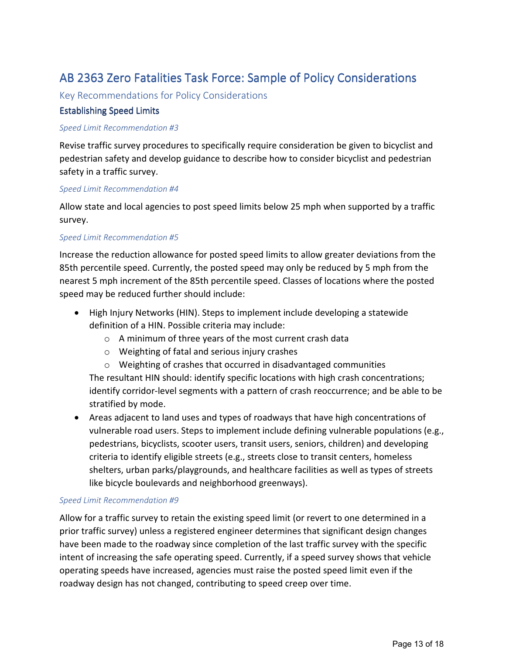## AB 2363 Zero Fatalities Task Force: Sample of Policy Considerations

Key Recommendations for Policy Considerations

#### **Establishing Speed Limits**

#### *Speed Limit Recommendation #3*

Revise traffic survey procedures to specifically require consideration be given to bicyclist and pedestrian safety and develop guidance to describe how to consider bicyclist and pedestrian safety in a traffic survey.

#### *Speed Limit Recommendation #4*

Allow state and local agencies to post speed limits below 25 mph when supported by a traffic survey.

#### *Speed Limit Recommendation #5*

Increase the reduction allowance for posted speed limits to allow greater deviations from the 85th percentile speed. Currently, the posted speed may only be reduced by 5 mph from the nearest 5 mph increment of the 85th percentile speed. Classes of locations where the posted speed may be reduced further should include:

- High Injury Networks (HIN). Steps to implement include developing a statewide definition of a HIN. Possible criteria may include:
	- o A minimum of three years of the most current crash data
	- o Weighting of fatal and serious injury crashes
	- o Weighting of crashes that occurred in disadvantaged communities The resultant HIN should: identify specific locations with high crash concentrations; identify corridor-level segments with a pattern of crash reoccurrence; and be able to be stratified by mode.
- Areas adjacent to land uses and types of roadways that have high concentrations of vulnerable road users. Steps to implement include defining vulnerable populations (e.g., pedestrians, bicyclists, scooter users, transit users, seniors, children) and developing criteria to identify eligible streets (e.g., streets close to transit centers, homeless shelters, urban parks/playgrounds, and healthcare facilities as well as types of streets like bicycle boulevards and neighborhood greenways).

#### *Speed Limit Recommendation #9*

Allow for a traffic survey to retain the existing speed limit (or revert to one determined in a prior traffic survey) unless a registered engineer determines that significant design changes have been made to the roadway since completion of the last traffic survey with the specific intent of increasing the safe operating speed. Currently, if a speed survey shows that vehicle operating speeds have increased, agencies must raise the posted speed limit even if the roadway design has not changed, contributing to speed creep over time.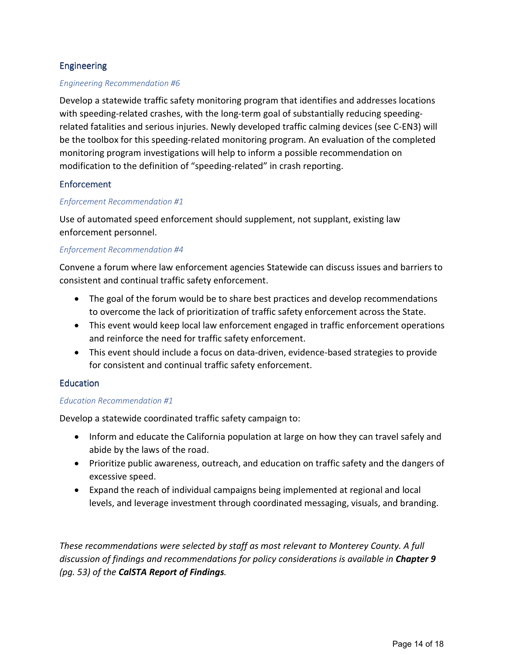### Engineering

#### *Engineering Recommendation #6*

Develop a statewide traffic safety monitoring program that identifies and addresses locations with speeding-related crashes, with the long-term goal of substantially reducing speedingrelated fatalities and serious injuries. Newly developed traffic calming devices (see C-EN3) will be the toolbox for this speeding-related monitoring program. An evaluation of the completed monitoring program investigations will help to inform a possible recommendation on modification to the definition of "speeding-related" in crash reporting.

#### **Enforcement**

#### *Enforcement Recommendation #1*

Use of automated speed enforcement should supplement, not supplant, existing law enforcement personnel.

#### *Enforcement Recommendation #4*

Convene a forum where law enforcement agencies Statewide can discuss issues and barriers to consistent and continual traffic safety enforcement.

- The goal of the forum would be to share best practices and develop recommendations to overcome the lack of prioritization of traffic safety enforcement across the State.
- This event would keep local law enforcement engaged in traffic enforcement operations and reinforce the need for traffic safety enforcement.
- This event should include a focus on data-driven, evidence-based strategies to provide for consistent and continual traffic safety enforcement.

#### Education

#### *Education Recommendation #1*

Develop a statewide coordinated traffic safety campaign to:

- Inform and educate the California population at large on how they can travel safely and abide by the laws of the road.
- Prioritize public awareness, outreach, and education on traffic safety and the dangers of excessive speed.
- Expand the reach of individual campaigns being implemented at regional and local levels, and leverage investment through coordinated messaging, visuals, and branding.

*These recommendations were selected by staff as most relevant to Monterey County. A full discussion of findings and recommendations for policy considerations is available in Chapter 9 (pg. 53) of the CalSTA Report of Findings.*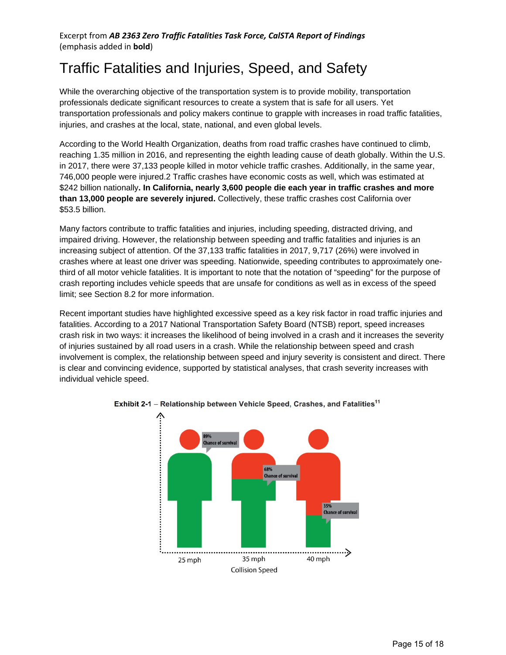# Traffic Fatalities and Injuries, Speed, and Safety

While the overarching objective of the transportation system is to provide mobility, transportation professionals dedicate significant resources to create a system that is safe for all users. Yet transportation professionals and policy makers continue to grapple with increases in road traffic fatalities, injuries, and crashes at the local, state, national, and even global levels.

According to the World Health Organization, deaths from road traffic crashes have continued to climb, reaching 1.35 million in 2016, and representing the eighth leading cause of death globally. Within the U.S. in 2017, there were 37,133 people killed in motor vehicle traffic crashes. Additionally, in the same year, 746,000 people were injured.2 Traffic crashes have economic costs as well, which was estimated at \$242 billion nationally**. In California, nearly 3,600 people die each year in traffic crashes and more than 13,000 people are severely injured.** Collectively, these traffic crashes cost California over \$53.5 billion.

Many factors contribute to traffic fatalities and injuries, including speeding, distracted driving, and impaired driving. However, the relationship between speeding and traffic fatalities and injuries is an increasing subject of attention. Of the 37,133 traffic fatalities in 2017, 9,717 (26%) were involved in crashes where at least one driver was speeding. Nationwide, speeding contributes to approximately onethird of all motor vehicle fatalities. It is important to note that the notation of "speeding" for the purpose of crash reporting includes vehicle speeds that are unsafe for conditions as well as in excess of the speed limit; see Section 8.2 for more information.

Recent important studies have highlighted excessive speed as a key risk factor in road traffic injuries and fatalities. According to a 2017 National Transportation Safety Board (NTSB) report, speed increases crash risk in two ways: it increases the likelihood of being involved in a crash and it increases the severity of injuries sustained by all road users in a crash. While the relationship between speed and crash involvement is complex, the relationship between speed and injury severity is consistent and direct. There is clear and convincing evidence, supported by statistical analyses, that crash severity increases with individual vehicle speed.



Exhibit 2-1 - Relationship between Vehicle Speed, Crashes, and Fatalities<sup>11</sup>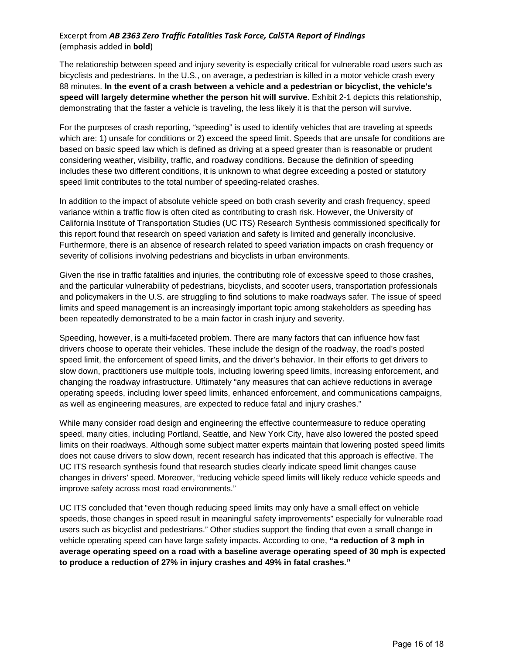#### Excerpt from *AB 2363 Zero Traffic Fatalities Task Force, CalSTA Report of Findings* (emphasis added in **bold**)

The relationship between speed and injury severity is especially critical for vulnerable road users such as bicyclists and pedestrians. In the U.S., on average, a pedestrian is killed in a motor vehicle crash every 88 minutes. **In the event of a crash between a vehicle and a pedestrian or bicyclist, the vehicle's speed will largely determine whether the person hit will survive.** Exhibit 2-1 depicts this relationship, demonstrating that the faster a vehicle is traveling, the less likely it is that the person will survive.

For the purposes of crash reporting, "speeding" is used to identify vehicles that are traveling at speeds which are: 1) unsafe for conditions or 2) exceed the speed limit. Speeds that are unsafe for conditions are based on basic speed law which is defined as driving at a speed greater than is reasonable or prudent considering weather, visibility, traffic, and roadway conditions. Because the definition of speeding includes these two different conditions, it is unknown to what degree exceeding a posted or statutory speed limit contributes to the total number of speeding-related crashes.

In addition to the impact of absolute vehicle speed on both crash severity and crash frequency, speed variance within a traffic flow is often cited as contributing to crash risk. However, the University of California Institute of Transportation Studies (UC ITS) Research Synthesis commissioned specifically for this report found that research on speed variation and safety is limited and generally inconclusive. Furthermore, there is an absence of research related to speed variation impacts on crash frequency or severity of collisions involving pedestrians and bicyclists in urban environments.

Given the rise in traffic fatalities and injuries, the contributing role of excessive speed to those crashes, and the particular vulnerability of pedestrians, bicyclists, and scooter users, transportation professionals and policymakers in the U.S. are struggling to find solutions to make roadways safer. The issue of speed limits and speed management is an increasingly important topic among stakeholders as speeding has been repeatedly demonstrated to be a main factor in crash injury and severity.

Speeding, however, is a multi-faceted problem. There are many factors that can influence how fast drivers choose to operate their vehicles. These include the design of the roadway, the road's posted speed limit, the enforcement of speed limits, and the driver's behavior. In their efforts to get drivers to slow down, practitioners use multiple tools, including lowering speed limits, increasing enforcement, and changing the roadway infrastructure. Ultimately "any measures that can achieve reductions in average operating speeds, including lower speed limits, enhanced enforcement, and communications campaigns, as well as engineering measures, are expected to reduce fatal and injury crashes."

While many consider road design and engineering the effective countermeasure to reduce operating speed, many cities, including Portland, Seattle, and New York City, have also lowered the posted speed limits on their roadways. Although some subject matter experts maintain that lowering posted speed limits does not cause drivers to slow down, recent research has indicated that this approach is effective. The UC ITS research synthesis found that research studies clearly indicate speed limit changes cause changes in drivers' speed. Moreover, "reducing vehicle speed limits will likely reduce vehicle speeds and improve safety across most road environments."

UC ITS concluded that "even though reducing speed limits may only have a small effect on vehicle speeds, those changes in speed result in meaningful safety improvements" especially for vulnerable road users such as bicyclist and pedestrians." Other studies support the finding that even a small change in vehicle operating speed can have large safety impacts. According to one, **"a reduction of 3 mph in average operating speed on a road with a baseline average operating speed of 30 mph is expected to produce a reduction of 27% in injury crashes and 49% in fatal crashes."**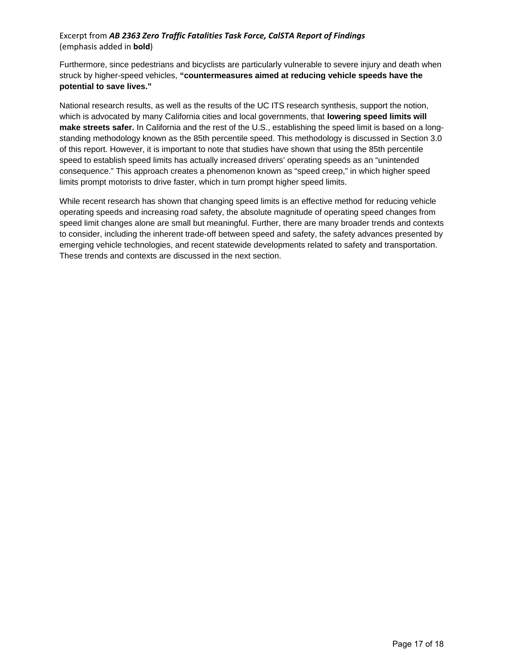#### Excerpt from *AB 2363 Zero Traffic Fatalities Task Force, CalSTA Report of Findings* (emphasis added in **bold**)

Furthermore, since pedestrians and bicyclists are particularly vulnerable to severe injury and death when struck by higher-speed vehicles, **"countermeasures aimed at reducing vehicle speeds have the potential to save lives."**

National research results, as well as the results of the UC ITS research synthesis, support the notion, which is advocated by many California cities and local governments, that **lowering speed limits will make streets safer.** In California and the rest of the U.S., establishing the speed limit is based on a longstanding methodology known as the 85th percentile speed. This methodology is discussed in Section 3.0 of this report. However, it is important to note that studies have shown that using the 85th percentile speed to establish speed limits has actually increased drivers' operating speeds as an "unintended consequence." This approach creates a phenomenon known as "speed creep," in which higher speed limits prompt motorists to drive faster, which in turn prompt higher speed limits.

While recent research has shown that changing speed limits is an effective method for reducing vehicle operating speeds and increasing road safety, the absolute magnitude of operating speed changes from speed limit changes alone are small but meaningful. Further, there are many broader trends and contexts to consider, including the inherent trade-off between speed and safety, the safety advances presented by emerging vehicle technologies, and recent statewide developments related to safety and transportation. These trends and contexts are discussed in the next section.